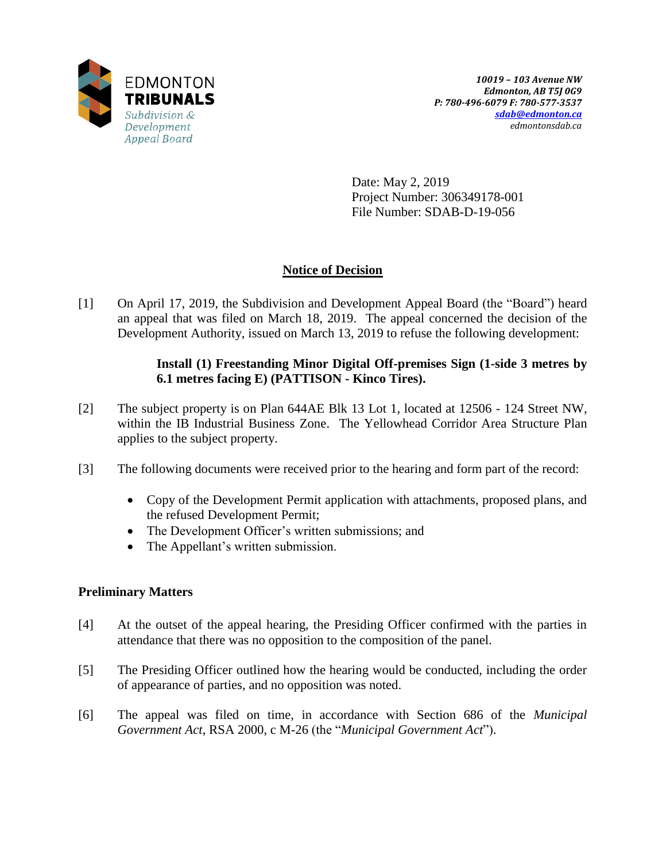

Date: May 2, 2019 Project Number: 306349178-001 File Number: SDAB-D-19-056

# **Notice of Decision**

[1] On April 17, 2019, the Subdivision and Development Appeal Board (the "Board") heard an appeal that was filed on March 18, 2019. The appeal concerned the decision of the Development Authority, issued on March 13, 2019 to refuse the following development:

## **Install (1) Freestanding Minor Digital Off-premises Sign (1-side 3 metres by 6.1 metres facing E) (PATTISON - Kinco Tires).**

- [2] The subject property is on Plan 644AE Blk 13 Lot 1, located at 12506 124 Street NW, within the IB Industrial Business Zone. The Yellowhead Corridor Area Structure Plan applies to the subject property.
- [3] The following documents were received prior to the hearing and form part of the record:
	- Copy of the Development Permit application with attachments, proposed plans, and the refused Development Permit;
	- The Development Officer's written submissions; and
	- The Appellant's written submission.

# **Preliminary Matters**

- [4] At the outset of the appeal hearing, the Presiding Officer confirmed with the parties in attendance that there was no opposition to the composition of the panel.
- [5] The Presiding Officer outlined how the hearing would be conducted, including the order of appearance of parties, and no opposition was noted.
- [6] The appeal was filed on time, in accordance with Section 686 of the *Municipal Government Act*, RSA 2000, c M-26 (the "*Municipal Government Act*").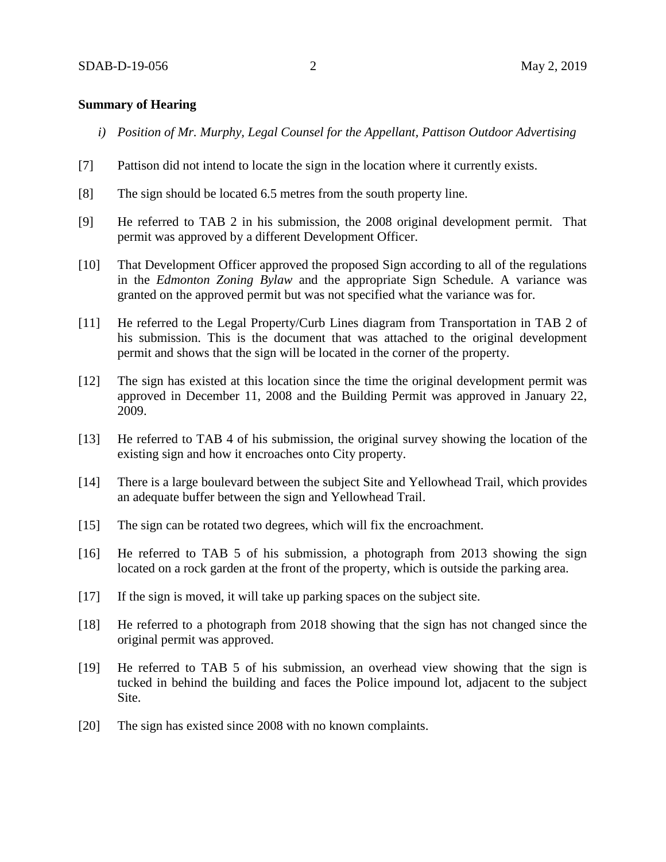### **Summary of Hearing**

- *i) Position of Mr. Murphy, Legal Counsel for the Appellant, Pattison Outdoor Advertising*
- [7] Pattison did not intend to locate the sign in the location where it currently exists.
- [8] The sign should be located 6.5 metres from the south property line.
- [9] He referred to TAB 2 in his submission, the 2008 original development permit. That permit was approved by a different Development Officer.
- [10] That Development Officer approved the proposed Sign according to all of the regulations in the *Edmonton Zoning Bylaw* and the appropriate Sign Schedule. A variance was granted on the approved permit but was not specified what the variance was for.
- [11] He referred to the Legal Property/Curb Lines diagram from Transportation in TAB 2 of his submission. This is the document that was attached to the original development permit and shows that the sign will be located in the corner of the property.
- [12] The sign has existed at this location since the time the original development permit was approved in December 11, 2008 and the Building Permit was approved in January 22, 2009.
- [13] He referred to TAB 4 of his submission, the original survey showing the location of the existing sign and how it encroaches onto City property.
- [14] There is a large boulevard between the subject Site and Yellowhead Trail, which provides an adequate buffer between the sign and Yellowhead Trail.
- [15] The sign can be rotated two degrees, which will fix the encroachment.
- [16] He referred to TAB 5 of his submission, a photograph from 2013 showing the sign located on a rock garden at the front of the property, which is outside the parking area.
- [17] If the sign is moved, it will take up parking spaces on the subject site.
- [18] He referred to a photograph from 2018 showing that the sign has not changed since the original permit was approved.
- [19] He referred to TAB 5 of his submission, an overhead view showing that the sign is tucked in behind the building and faces the Police impound lot, adjacent to the subject Site.
- [20] The sign has existed since 2008 with no known complaints.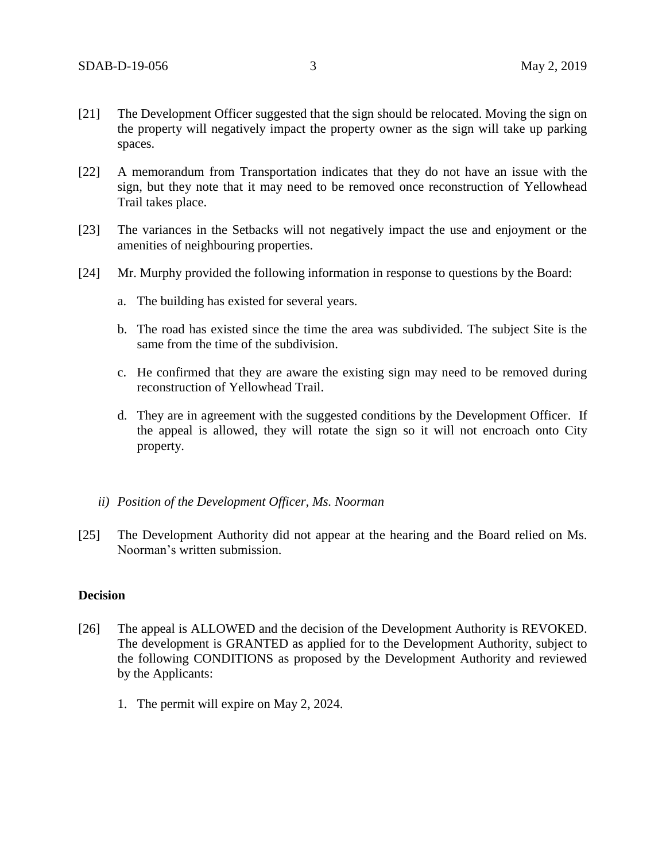- [21] The Development Officer suggested that the sign should be relocated. Moving the sign on the property will negatively impact the property owner as the sign will take up parking spaces.
- [22] A memorandum from Transportation indicates that they do not have an issue with the sign, but they note that it may need to be removed once reconstruction of Yellowhead Trail takes place.
- [23] The variances in the Setbacks will not negatively impact the use and enjoyment or the amenities of neighbouring properties.
- [24] Mr. Murphy provided the following information in response to questions by the Board:
	- a. The building has existed for several years.
	- b. The road has existed since the time the area was subdivided. The subject Site is the same from the time of the subdivision.
	- c. He confirmed that they are aware the existing sign may need to be removed during reconstruction of Yellowhead Trail.
	- d. They are in agreement with the suggested conditions by the Development Officer. If the appeal is allowed, they will rotate the sign so it will not encroach onto City property.
	- *ii) Position of the Development Officer, Ms. Noorman*
- [25] The Development Authority did not appear at the hearing and the Board relied on Ms. Noorman's written submission.

### **Decision**

- [26] The appeal is ALLOWED and the decision of the Development Authority is REVOKED. The development is GRANTED as applied for to the Development Authority, subject to the following CONDITIONS as proposed by the Development Authority and reviewed by the Applicants:
	- 1. The permit will expire on May 2, 2024.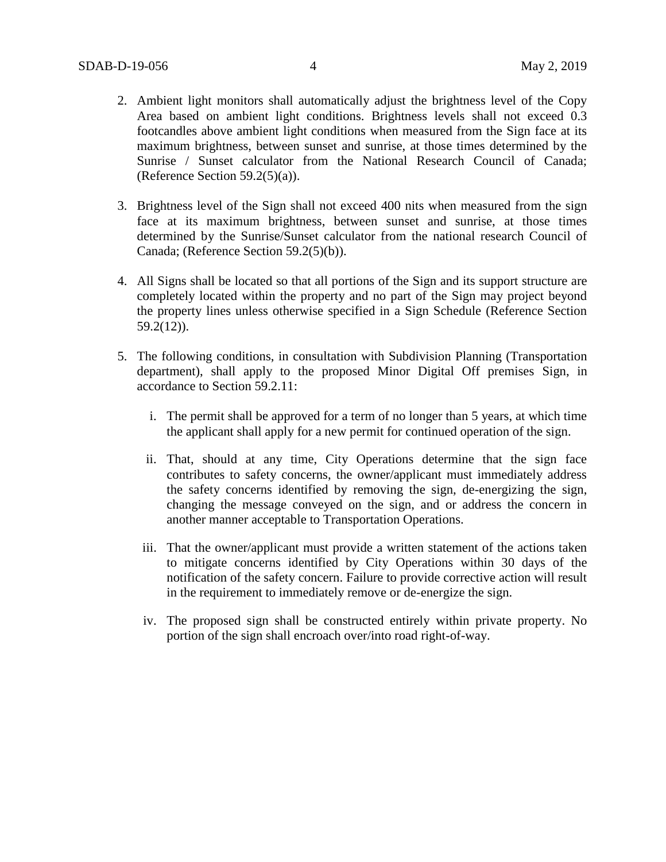- 2. Ambient light monitors shall automatically adjust the brightness level of the Copy Area based on ambient light conditions. Brightness levels shall not exceed 0.3 footcandles above ambient light conditions when measured from the Sign face at its maximum brightness, between sunset and sunrise, at those times determined by the Sunrise / Sunset calculator from the National Research Council of Canada; (Reference Section 59.2(5)(a)).
- 3. Brightness level of the Sign shall not exceed 400 nits when measured from the sign face at its maximum brightness, between sunset and sunrise, at those times determined by the Sunrise/Sunset calculator from the national research Council of Canada; (Reference Section 59.2(5)(b)).
- 4. All Signs shall be located so that all portions of the Sign and its support structure are completely located within the property and no part of the Sign may project beyond the property lines unless otherwise specified in a Sign Schedule (Reference Section 59.2(12)).
- 5. The following conditions, in consultation with Subdivision Planning (Transportation department), shall apply to the proposed Minor Digital Off premises Sign, in accordance to Section 59.2.11:
	- i. The permit shall be approved for a term of no longer than 5 years, at which time the applicant shall apply for a new permit for continued operation of the sign.
	- ii. That, should at any time, City Operations determine that the sign face contributes to safety concerns, the owner/applicant must immediately address the safety concerns identified by removing the sign, de-energizing the sign, changing the message conveyed on the sign, and or address the concern in another manner acceptable to Transportation Operations.
	- iii. That the owner/applicant must provide a written statement of the actions taken to mitigate concerns identified by City Operations within 30 days of the notification of the safety concern. Failure to provide corrective action will result in the requirement to immediately remove or de-energize the sign.
	- iv. The proposed sign shall be constructed entirely within private property. No portion of the sign shall encroach over/into road right-of-way.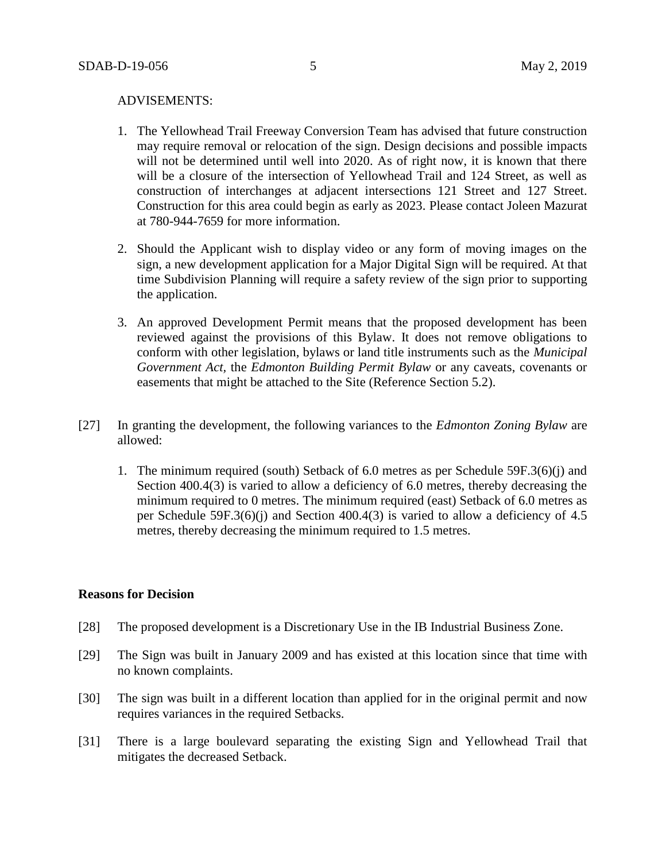#### ADVISEMENTS:

- 1. The Yellowhead Trail Freeway Conversion Team has advised that future construction may require removal or relocation of the sign. Design decisions and possible impacts will not be determined until well into 2020. As of right now, it is known that there will be a closure of the intersection of Yellowhead Trail and 124 Street, as well as construction of interchanges at adjacent intersections 121 Street and 127 Street. Construction for this area could begin as early as 2023. Please contact Joleen Mazurat at 780-944-7659 for more information.
- 2. Should the Applicant wish to display video or any form of moving images on the sign, a new development application for a Major Digital Sign will be required. At that time Subdivision Planning will require a safety review of the sign prior to supporting the application.
- 3. An approved Development Permit means that the proposed development has been reviewed against the provisions of this Bylaw. It does not remove obligations to conform with other legislation, bylaws or land title instruments such as the *Municipal Government Act,* the *Edmonton Building Permit Bylaw* or any caveats, covenants or easements that might be attached to the Site (Reference Section 5.2).
- [27] In granting the development, the following variances to the *Edmonton Zoning Bylaw* are allowed:
	- 1. The minimum required (south) Setback of 6.0 metres as per Schedule 59F.3(6)(j) and Section 400.4(3) is varied to allow a deficiency of 6.0 metres, thereby decreasing the minimum required to 0 metres. The minimum required (east) Setback of 6.0 metres as per Schedule 59F.3(6)(j) and Section 400.4(3) is varied to allow a deficiency of 4.5 metres, thereby decreasing the minimum required to 1.5 metres.

### **Reasons for Decision**

- [28] The proposed development is a Discretionary Use in the IB Industrial Business Zone.
- [29] The Sign was built in January 2009 and has existed at this location since that time with no known complaints.
- [30] The sign was built in a different location than applied for in the original permit and now requires variances in the required Setbacks.
- [31] There is a large boulevard separating the existing Sign and Yellowhead Trail that mitigates the decreased Setback.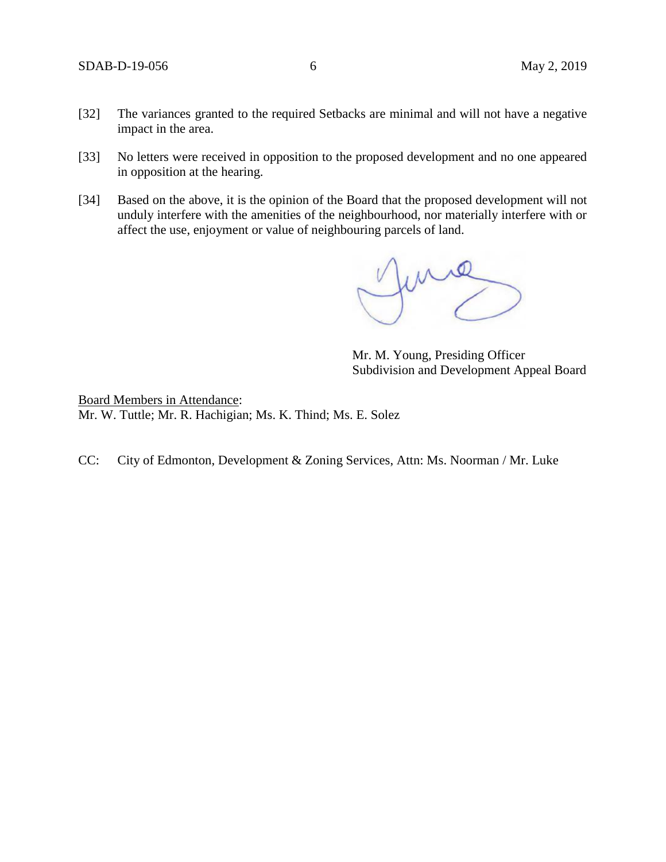- [32] The variances granted to the required Setbacks are minimal and will not have a negative impact in the area.
- [33] No letters were received in opposition to the proposed development and no one appeared in opposition at the hearing.
- [34] Based on the above, it is the opinion of the Board that the proposed development will not unduly interfere with the amenities of the neighbourhood, nor materially interfere with or affect the use, enjoyment or value of neighbouring parcels of land.

June

Mr. M. Young, Presiding Officer Subdivision and Development Appeal Board

Board Members in Attendance: Mr. W. Tuttle; Mr. R. Hachigian; Ms. K. Thind; Ms. E. Solez

CC: City of Edmonton, Development & Zoning Services, Attn: Ms. Noorman / Mr. Luke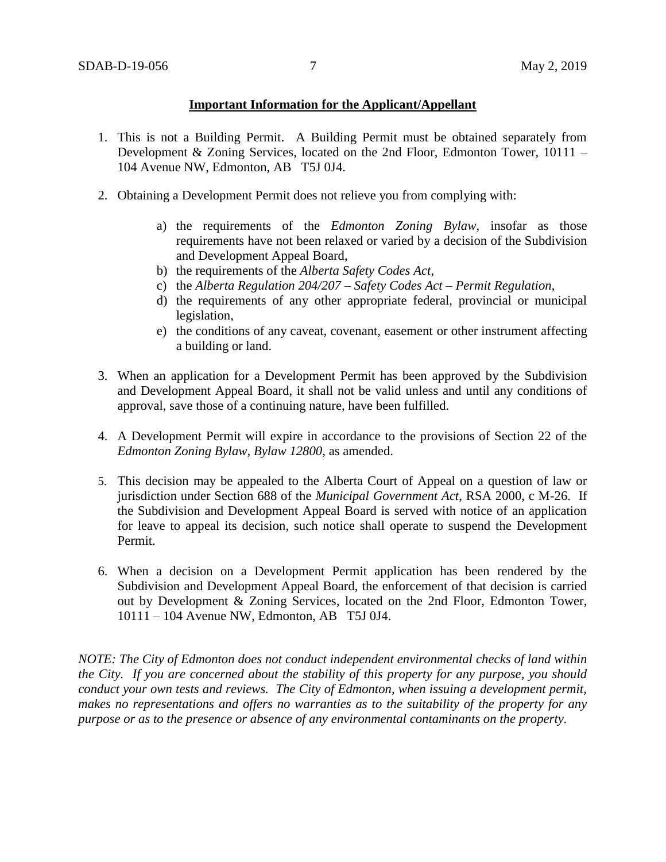## **Important Information for the Applicant/Appellant**

- 1. This is not a Building Permit. A Building Permit must be obtained separately from Development & Zoning Services, located on the 2nd Floor, Edmonton Tower, 10111 – 104 Avenue NW, Edmonton, AB T5J 0J4.
- 2. Obtaining a Development Permit does not relieve you from complying with:
	- a) the requirements of the *Edmonton Zoning Bylaw*, insofar as those requirements have not been relaxed or varied by a decision of the Subdivision and Development Appeal Board,
	- b) the requirements of the *Alberta Safety Codes Act*,
	- c) the *Alberta Regulation 204/207 – Safety Codes Act – Permit Regulation*,
	- d) the requirements of any other appropriate federal, provincial or municipal legislation,
	- e) the conditions of any caveat, covenant, easement or other instrument affecting a building or land.
- 3. When an application for a Development Permit has been approved by the Subdivision and Development Appeal Board, it shall not be valid unless and until any conditions of approval, save those of a continuing nature, have been fulfilled.
- 4. A Development Permit will expire in accordance to the provisions of Section 22 of the *Edmonton Zoning Bylaw, Bylaw 12800*, as amended.
- 5. This decision may be appealed to the Alberta Court of Appeal on a question of law or jurisdiction under Section 688 of the *Municipal Government Act*, RSA 2000, c M-26. If the Subdivision and Development Appeal Board is served with notice of an application for leave to appeal its decision, such notice shall operate to suspend the Development Permit.
- 6. When a decision on a Development Permit application has been rendered by the Subdivision and Development Appeal Board, the enforcement of that decision is carried out by Development & Zoning Services, located on the 2nd Floor, Edmonton Tower, 10111 – 104 Avenue NW, Edmonton, AB T5J 0J4.

*NOTE: The City of Edmonton does not conduct independent environmental checks of land within the City. If you are concerned about the stability of this property for any purpose, you should conduct your own tests and reviews. The City of Edmonton, when issuing a development permit, makes no representations and offers no warranties as to the suitability of the property for any purpose or as to the presence or absence of any environmental contaminants on the property.*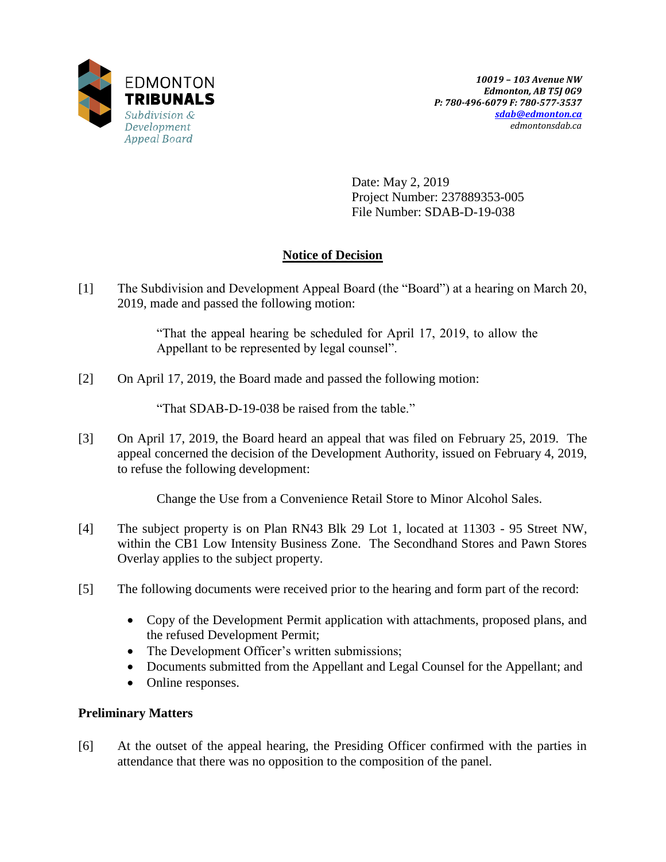

Date: May 2, 2019 Project Number: 237889353-005 File Number: SDAB-D-19-038

# **Notice of Decision**

[1] The Subdivision and Development Appeal Board (the "Board") at a hearing on March 20, 2019, made and passed the following motion:

> "That the appeal hearing be scheduled for April 17, 2019, to allow the Appellant to be represented by legal counsel".

[2] On April 17, 2019, the Board made and passed the following motion:

"That SDAB-D-19-038 be raised from the table."

[3] On April 17, 2019, the Board heard an appeal that was filed on February 25, 2019. The appeal concerned the decision of the Development Authority, issued on February 4, 2019, to refuse the following development:

Change the Use from a Convenience Retail Store to Minor Alcohol Sales.

- [4] The subject property is on Plan RN43 Blk 29 Lot 1, located at 11303 95 Street NW, within the CB1 Low Intensity Business Zone. The Secondhand Stores and Pawn Stores Overlay applies to the subject property.
- [5] The following documents were received prior to the hearing and form part of the record:
	- Copy of the Development Permit application with attachments, proposed plans, and the refused Development Permit;
	- The Development Officer's written submissions;
	- Documents submitted from the Appellant and Legal Counsel for the Appellant; and
	- Online responses.

# **Preliminary Matters**

[6] At the outset of the appeal hearing, the Presiding Officer confirmed with the parties in attendance that there was no opposition to the composition of the panel.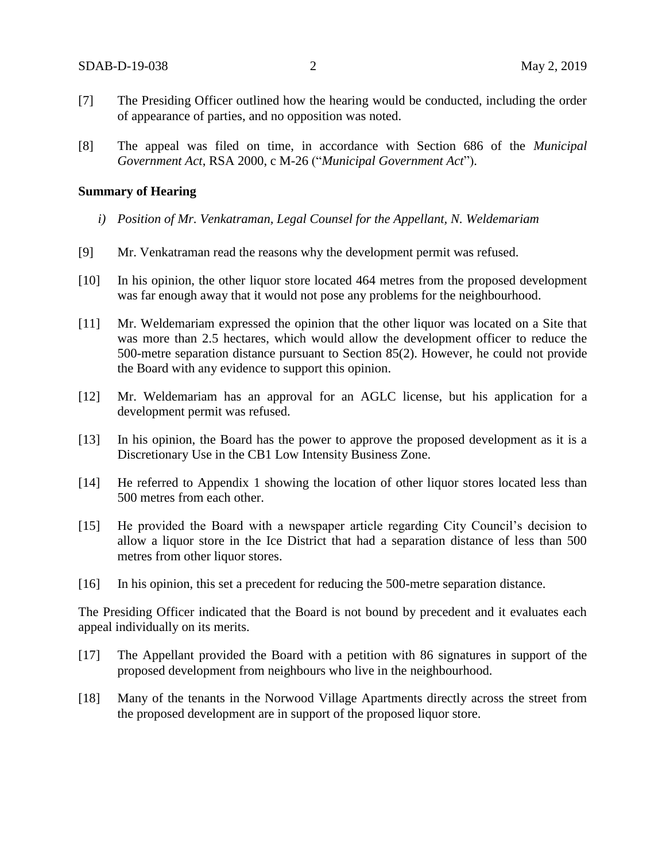- [7] The Presiding Officer outlined how the hearing would be conducted, including the order of appearance of parties, and no opposition was noted.
- [8] The appeal was filed on time, in accordance with Section 686 of the *Municipal Government Act*, RSA 2000, c M-26 ("*Municipal Government Act*").

#### **Summary of Hearing**

- *i) Position of Mr. Venkatraman, Legal Counsel for the Appellant, N. Weldemariam*
- [9] Mr. Venkatraman read the reasons why the development permit was refused.
- [10] In his opinion, the other liquor store located 464 metres from the proposed development was far enough away that it would not pose any problems for the neighbourhood.
- [11] Mr. Weldemariam expressed the opinion that the other liquor was located on a Site that was more than 2.5 hectares, which would allow the development officer to reduce the 500-metre separation distance pursuant to Section 85(2). However, he could not provide the Board with any evidence to support this opinion.
- [12] Mr. Weldemariam has an approval for an AGLC license, but his application for a development permit was refused.
- [13] In his opinion, the Board has the power to approve the proposed development as it is a Discretionary Use in the CB1 Low Intensity Business Zone.
- [14] He referred to Appendix 1 showing the location of other liquor stores located less than 500 metres from each other.
- [15] He provided the Board with a newspaper article regarding City Council's decision to allow a liquor store in the Ice District that had a separation distance of less than 500 metres from other liquor stores.
- [16] In his opinion, this set a precedent for reducing the 500-metre separation distance.

The Presiding Officer indicated that the Board is not bound by precedent and it evaluates each appeal individually on its merits.

- [17] The Appellant provided the Board with a petition with 86 signatures in support of the proposed development from neighbours who live in the neighbourhood.
- [18] Many of the tenants in the Norwood Village Apartments directly across the street from the proposed development are in support of the proposed liquor store.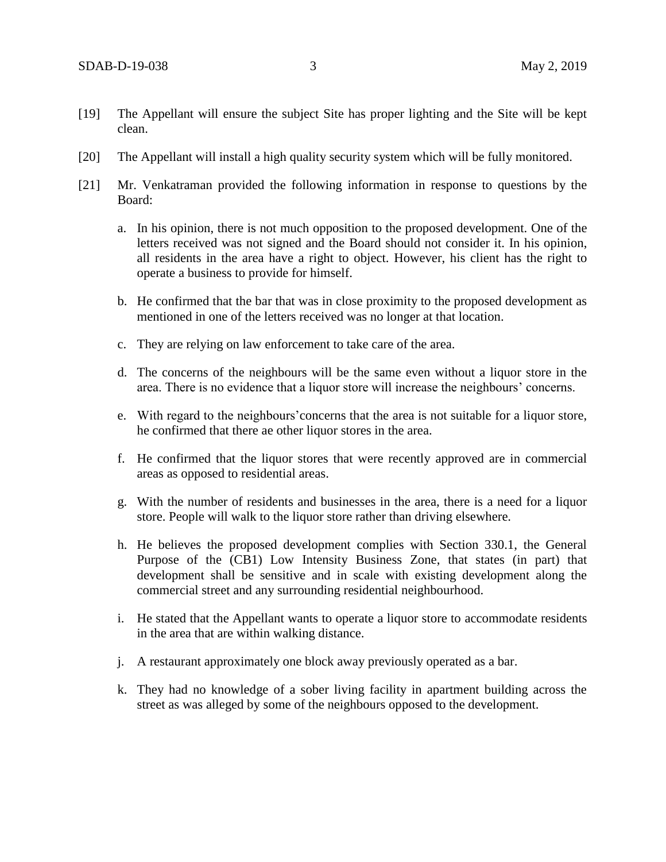- [19] The Appellant will ensure the subject Site has proper lighting and the Site will be kept clean.
- [20] The Appellant will install a high quality security system which will be fully monitored.
- [21] Mr. Venkatraman provided the following information in response to questions by the Board:
	- a. In his opinion, there is not much opposition to the proposed development. One of the letters received was not signed and the Board should not consider it. In his opinion, all residents in the area have a right to object. However, his client has the right to operate a business to provide for himself.
	- b. He confirmed that the bar that was in close proximity to the proposed development as mentioned in one of the letters received was no longer at that location.
	- c. They are relying on law enforcement to take care of the area.
	- d. The concerns of the neighbours will be the same even without a liquor store in the area. There is no evidence that a liquor store will increase the neighbours' concerns.
	- e. With regard to the neighbours'concerns that the area is not suitable for a liquor store, he confirmed that there ae other liquor stores in the area.
	- f. He confirmed that the liquor stores that were recently approved are in commercial areas as opposed to residential areas.
	- g. With the number of residents and businesses in the area, there is a need for a liquor store. People will walk to the liquor store rather than driving elsewhere.
	- h. He believes the proposed development complies with Section 330.1, the General Purpose of the (CB1) Low Intensity Business Zone, that states (in part) that development shall be sensitive and in scale with existing development along the commercial street and any surrounding residential neighbourhood.
	- i. He stated that the Appellant wants to operate a liquor store to accommodate residents in the area that are within walking distance.
	- j. A restaurant approximately one block away previously operated as a bar.
	- k. They had no knowledge of a sober living facility in apartment building across the street as was alleged by some of the neighbours opposed to the development.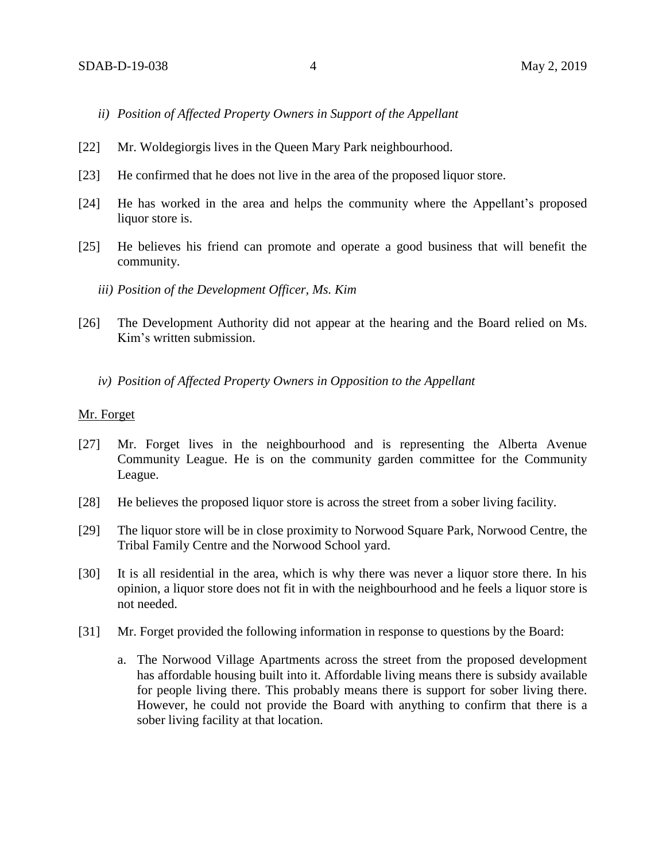- *ii) Position of Affected Property Owners in Support of the Appellant*
- [22] Mr. Woldegiorgis lives in the Queen Mary Park neighbourhood.
- [23] He confirmed that he does not live in the area of the proposed liquor store.
- [24] He has worked in the area and helps the community where the Appellant's proposed liquor store is.
- [25] He believes his friend can promote and operate a good business that will benefit the community.
	- *iii) Position of the Development Officer, Ms. Kim*
- [26] The Development Authority did not appear at the hearing and the Board relied on Ms. Kim's written submission.
	- *iv) Position of Affected Property Owners in Opposition to the Appellant*

### Mr. Forget

- [27] Mr. Forget lives in the neighbourhood and is representing the Alberta Avenue Community League. He is on the community garden committee for the Community League.
- [28] He believes the proposed liquor store is across the street from a sober living facility.
- [29] The liquor store will be in close proximity to Norwood Square Park, Norwood Centre, the Tribal Family Centre and the Norwood School yard.
- [30] It is all residential in the area, which is why there was never a liquor store there. In his opinion, a liquor store does not fit in with the neighbourhood and he feels a liquor store is not needed.
- [31] Mr. Forget provided the following information in response to questions by the Board:
	- a. The Norwood Village Apartments across the street from the proposed development has affordable housing built into it. Affordable living means there is subsidy available for people living there. This probably means there is support for sober living there. However, he could not provide the Board with anything to confirm that there is a sober living facility at that location.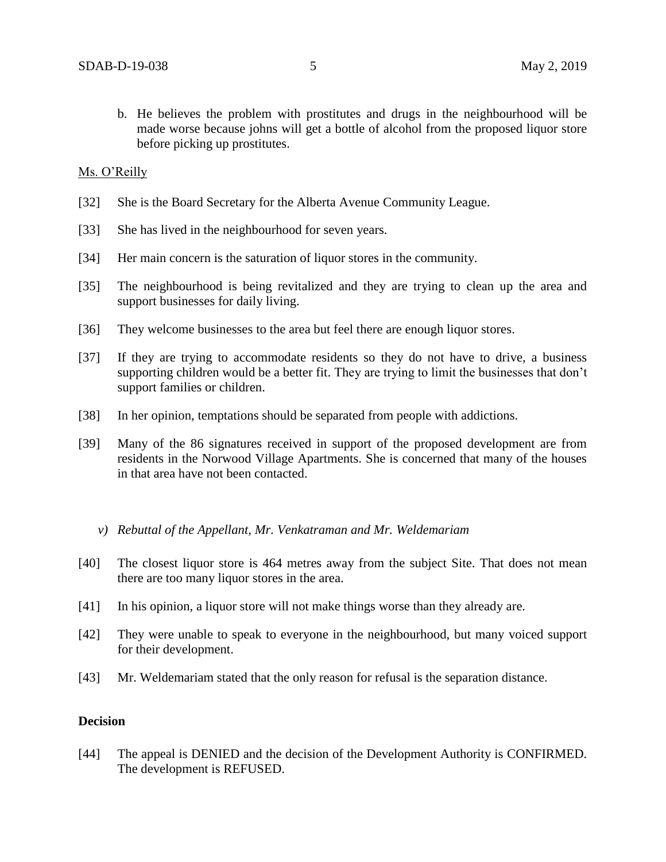b. He believes the problem with prostitutes and drugs in the neighbourhood will be made worse because johns will get a bottle of alcohol from the proposed liquor store before picking up prostitutes.

### Ms. O'Reilly

- [32] She is the Board Secretary for the Alberta Avenue Community League.
- [33] She has lived in the neighbourhood for seven years.
- [34] Her main concern is the saturation of liquor stores in the community.
- [35] The neighbourhood is being revitalized and they are trying to clean up the area and support businesses for daily living.
- [36] They welcome businesses to the area but feel there are enough liquor stores.
- [37] If they are trying to accommodate residents so they do not have to drive, a business supporting children would be a better fit. They are trying to limit the businesses that don't support families or children.
- [38] In her opinion, temptations should be separated from people with addictions.
- [39] Many of the 86 signatures received in support of the proposed development are from residents in the Norwood Village Apartments. She is concerned that many of the houses in that area have not been contacted.
	- *v) Rebuttal of the Appellant, Mr. Venkatraman and Mr. Weldemariam*
- [40] The closest liquor store is 464 metres away from the subject Site. That does not mean there are too many liquor stores in the area.
- [41] In his opinion, a liquor store will not make things worse than they already are.
- [42] They were unable to speak to everyone in the neighbourhood, but many voiced support for their development.
- [43] Mr. Weldemariam stated that the only reason for refusal is the separation distance.

## **Decision**

[44] The appeal is DENIED and the decision of the Development Authority is CONFIRMED. The development is REFUSED.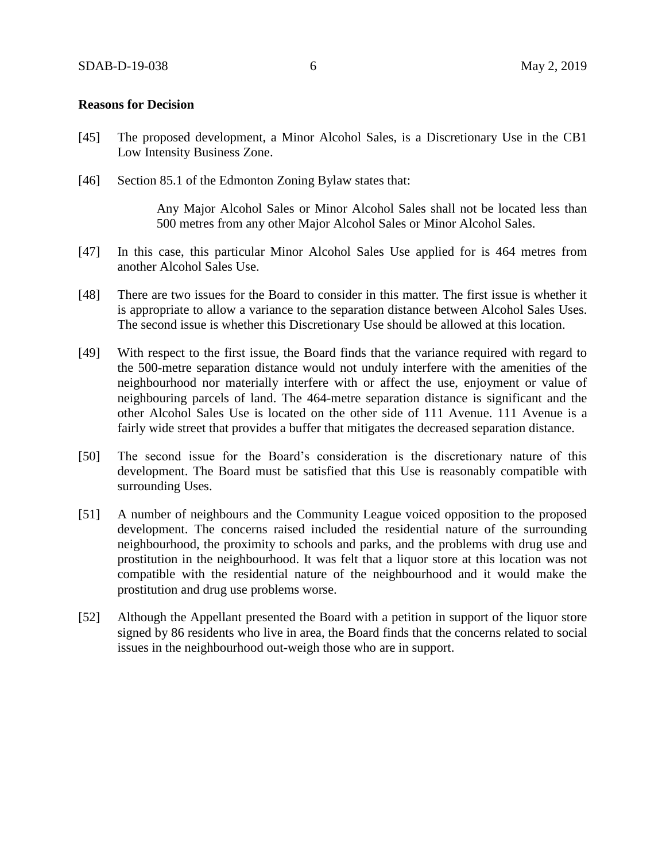### **Reasons for Decision**

- [45] The proposed development, a Minor Alcohol Sales, is a Discretionary Use in the CB1 Low Intensity Business Zone.
- [46] Section 85.1 of the Edmonton Zoning Bylaw states that:

Any Major Alcohol Sales or Minor Alcohol Sales shall not be located less than 500 metres from any other Major Alcohol Sales or Minor Alcohol Sales.

- [47] In this case, this particular Minor Alcohol Sales Use applied for is 464 metres from another Alcohol Sales Use.
- [48] There are two issues for the Board to consider in this matter. The first issue is whether it is appropriate to allow a variance to the separation distance between Alcohol Sales Uses. The second issue is whether this Discretionary Use should be allowed at this location.
- [49] With respect to the first issue, the Board finds that the variance required with regard to the 500-metre separation distance would not unduly interfere with the amenities of the neighbourhood nor materially interfere with or affect the use, enjoyment or value of neighbouring parcels of land. The 464-metre separation distance is significant and the other Alcohol Sales Use is located on the other side of 111 Avenue. 111 Avenue is a fairly wide street that provides a buffer that mitigates the decreased separation distance.
- [50] The second issue for the Board's consideration is the discretionary nature of this development. The Board must be satisfied that this Use is reasonably compatible with surrounding Uses.
- [51] A number of neighbours and the Community League voiced opposition to the proposed development. The concerns raised included the residential nature of the surrounding neighbourhood, the proximity to schools and parks, and the problems with drug use and prostitution in the neighbourhood. It was felt that a liquor store at this location was not compatible with the residential nature of the neighbourhood and it would make the prostitution and drug use problems worse.
- [52] Although the Appellant presented the Board with a petition in support of the liquor store signed by 86 residents who live in area, the Board finds that the concerns related to social issues in the neighbourhood out-weigh those who are in support.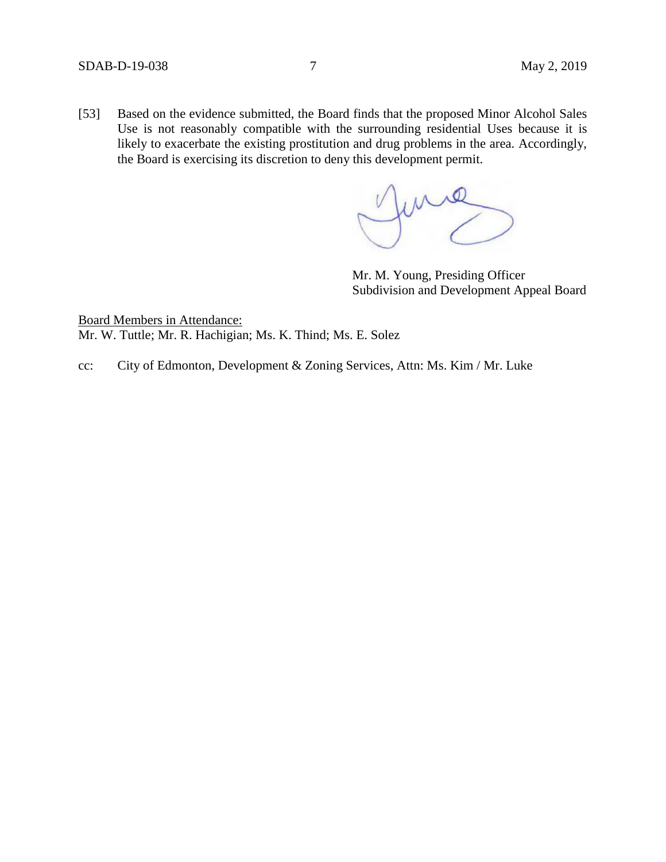[53] Based on the evidence submitted, the Board finds that the proposed Minor Alcohol Sales Use is not reasonably compatible with the surrounding residential Uses because it is likely to exacerbate the existing prostitution and drug problems in the area. Accordingly, the Board is exercising its discretion to deny this development permit.

fund

Mr. M. Young, Presiding Officer Subdivision and Development Appeal Board

Board Members in Attendance: Mr. W. Tuttle; Mr. R. Hachigian; Ms. K. Thind; Ms. E. Solez

cc: City of Edmonton, Development & Zoning Services, Attn: Ms. Kim / Mr. Luke